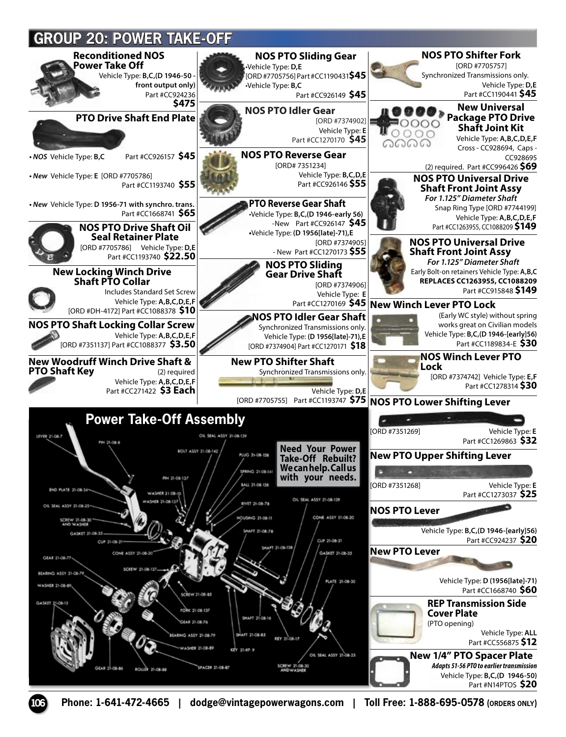

**106 Phone: 1-641-472-4665 | dodge@vintagepowerwagons.com | Toll Free: 1-888-695-0578 (ORDERS ONLY)**